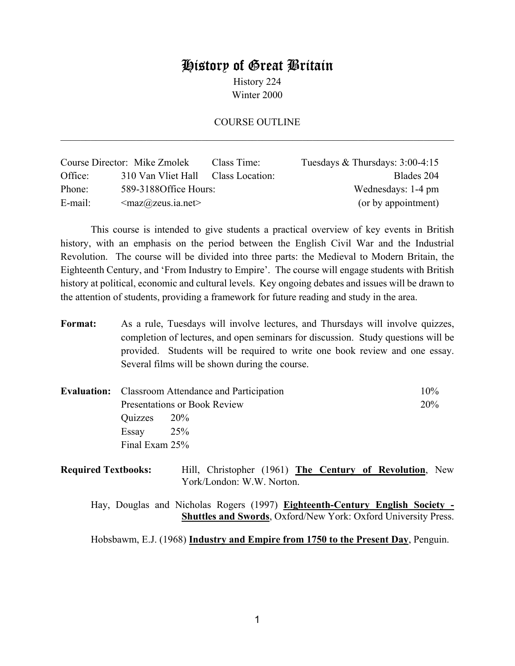# History of Great Britain

History 224 Winter 2000

### COURSE OUTLINE  $\mathcal{L}_\mathcal{L} = \mathcal{L}_\mathcal{L} = \mathcal{L}_\mathcal{L} = \mathcal{L}_\mathcal{L} = \mathcal{L}_\mathcal{L} = \mathcal{L}_\mathcal{L} = \mathcal{L}_\mathcal{L} = \mathcal{L}_\mathcal{L} = \mathcal{L}_\mathcal{L} = \mathcal{L}_\mathcal{L} = \mathcal{L}_\mathcal{L} = \mathcal{L}_\mathcal{L} = \mathcal{L}_\mathcal{L} = \mathcal{L}_\mathcal{L} = \mathcal{L}_\mathcal{L} = \mathcal{L}_\mathcal{L} = \mathcal{L}_\mathcal{L}$

|            | Course Director: Mike Zmolek                     | Class Time:     | Tuesdays $&$ Thursdays: 3:00-4:15 |
|------------|--------------------------------------------------|-----------------|-----------------------------------|
| Office:    | 310 Van Vliet Hall                               | Class Location: | Blades 204                        |
| Phone:     | 589-31880ffice Hours:                            |                 | Wednesdays: 1-4 pm                |
| $E$ -mail: | $\langle \text{max@zeus.} \text{ia.net} \rangle$ |                 | (or by appointment)               |

 This course is intended to give students a practical overview of key events in British history, with an emphasis on the period between the English Civil War and the Industrial Revolution. The course will be divided into three parts: the Medieval to Modern Britain, the Eighteenth Century, and 'From Industry to Empire'. The course will engage students with British history at political, economic and cultural levels. Key ongoing debates and issues will be drawn to the attention of students, providing a framework for future reading and study in the area.

Format: As a rule, Tuesdays will involve lectures, and Thursdays will involve quizzes, completion of lectures, and open seminars for discussion. Study questions will be provided. Students will be required to write one book review and one essay. Several films will be shown during the course.

|                              | <b>Evaluation:</b> Classroom Attendance and Participation | $10\%$ |
|------------------------------|-----------------------------------------------------------|--------|
| Presentations or Book Review |                                                           | 20%    |
| $Quizzes$ 20%                |                                                           |        |
| Essay                        | 25%                                                       |        |
| Final Exam 25%               |                                                           |        |

| <b>Required Textbooks:</b> |                           |  |  | Hill, Christopher (1961) The Century of Revolution, New |  |
|----------------------------|---------------------------|--|--|---------------------------------------------------------|--|
|                            | York/London: W.W. Norton. |  |  |                                                         |  |

 Hay, Douglas and Nicholas Rogers (1997) **Eighteenth-Century English Society - Shuttles and Swords**, Oxford/New York: Oxford University Press.

Hobsbawm, E.J. (1968) **Industry and Empire from 1750 to the Present Day**, Penguin.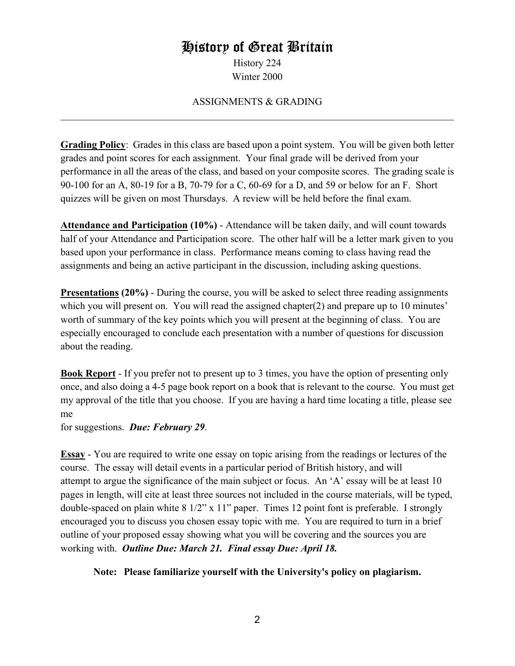# History of Great Britain

History 224 Winter 2000

## ASSIGNMENTS & GRADING  $\mathcal{L}_\mathcal{L} = \{ \mathcal{L}_\mathcal{L} = \{ \mathcal{L}_\mathcal{L} = \{ \mathcal{L}_\mathcal{L} = \{ \mathcal{L}_\mathcal{L} = \{ \mathcal{L}_\mathcal{L} = \{ \mathcal{L}_\mathcal{L} = \{ \mathcal{L}_\mathcal{L} = \{ \mathcal{L}_\mathcal{L} = \{ \mathcal{L}_\mathcal{L} = \{ \mathcal{L}_\mathcal{L} = \{ \mathcal{L}_\mathcal{L} = \{ \mathcal{L}_\mathcal{L} = \{ \mathcal{L}_\mathcal{L} = \{ \mathcal{L}_\mathcal{$

**Grading Policy**: Grades in this class are based upon a point system. You will be given both letter grades and point scores for each assignment. Your final grade will be derived from your performance in all the areas of the class, and based on your composite scores. The grading scale is 90-100 for an A, 80-19 for a B, 70-79 for a C, 60-69 for a D, and 59 or below for an F. Short quizzes will be given on most Thursdays. A review will be held before the final exam.

**Attendance and Participation (10%)** - Attendance will be taken daily, and will count towards half of your Attendance and Participation score. The other half will be a letter mark given to you based upon your performance in class. Performance means coming to class having read the assignments and being an active participant in the discussion, including asking questions.

**Presentations (20%)** - During the course, you will be asked to select three reading assignments which you will present on. You will read the assigned chapter(2) and prepare up to 10 minutes' worth of summary of the key points which you will present at the beginning of class. You are especially encouraged to conclude each presentation with a number of questions for discussion about the reading.

**Book Report** - If you prefer not to present up to 3 times, you have the option of presenting only once, and also doing a 4-5 page book report on a book that is relevant to the course. You must get my approval of the title that you choose. If you are having a hard time locating a title, please see me

for suggestions. *Due: February 29*.

**Essay** - You are required to write one essay on topic arising from the readings or lectures of the course. The essay will detail events in a particular period of British history, and will attempt to argue the significance of the main subject or focus. An 'A' essay will be at least 10 pages in length, will cite at least three sources not included in the course materials, will be typed, double-spaced on plain white 8 1/2" x 11" paper. Times 12 point font is preferable. I strongly encouraged you to discuss you chosen essay topic with me. You are required to turn in a brief outline of your proposed essay showing what you will be covering and the sources you are working with. *Outline Due: March 21. Final essay Due: April 18.*

### **Note: Please familiarize yourself with the University's policy on plagiarism.**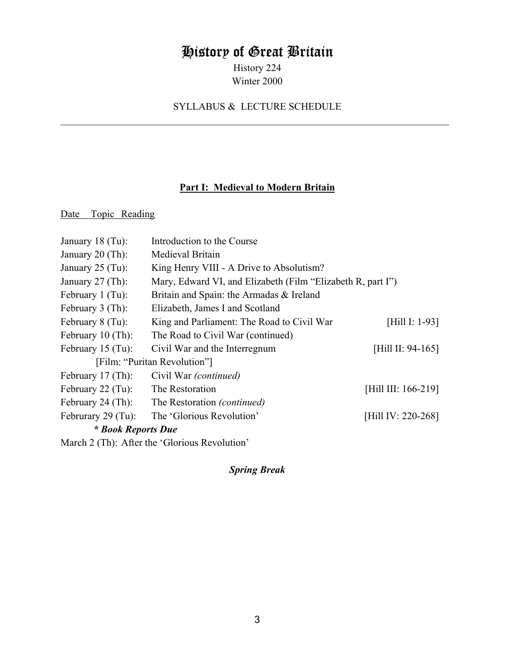# History of Great Britain

History 224 Winter 2000

# SYLLABUS & LECTURE SCHEDULE  $\mathcal{L}_\mathcal{L} = \{ \mathcal{L}_\mathcal{L} = \{ \mathcal{L}_\mathcal{L} = \{ \mathcal{L}_\mathcal{L} = \{ \mathcal{L}_\mathcal{L} = \{ \mathcal{L}_\mathcal{L} = \{ \mathcal{L}_\mathcal{L} = \{ \mathcal{L}_\mathcal{L} = \{ \mathcal{L}_\mathcal{L} = \{ \mathcal{L}_\mathcal{L} = \{ \mathcal{L}_\mathcal{L} = \{ \mathcal{L}_\mathcal{L} = \{ \mathcal{L}_\mathcal{L} = \{ \mathcal{L}_\mathcal{L} = \{ \mathcal{L}_\mathcal{$

## **Part I: Medieval to Modern Britain**

Date Topic Reading

| January $18$ (Tu):        | Introduction to the Course                                  |                     |
|---------------------------|-------------------------------------------------------------|---------------------|
| January $20$ (Th):        | Medieval Britain                                            |                     |
| January $25$ (Tu):        | King Henry VIII - A Drive to Absolutism?                    |                     |
| January $27$ (Th):        | Mary, Edward VI, and Elizabeth (Film "Elizabeth R, part I") |                     |
| February $1$ (Tu):        | Britain and Spain: the Armadas & Ireland                    |                     |
| February $3$ (Th):        | Elizabeth, James I and Scotland                             |                     |
| February 8 (Tu):          | King and Parliament: The Road to Civil War                  | [Hill I: 1-93]      |
| February 10 (Th):         | The Road to Civil War (continued)                           |                     |
| February $15$ (Tu):       | Civil War and the Interregnum                               | [Hill II: 94-165]   |
|                           | [Film: "Puritan Revolution"]                                |                     |
| February $17$ (Th):       | Civil War <i>(continued)</i>                                |                     |
| February $22$ (Tu):       | The Restoration                                             | [Hill III: 166-219] |
| February 24 $(Th)$ :      | The Restoration (continued)                                 |                     |
| Februrary 29 $(Tu)$ :     | The 'Glorious Revolution'                                   | [Hill IV: 220-268]  |
| <i>* Book Reports Due</i> |                                                             |                     |
|                           | March 2 (Th): After the 'Glorious Revolution'               |                     |

*Spring Break*